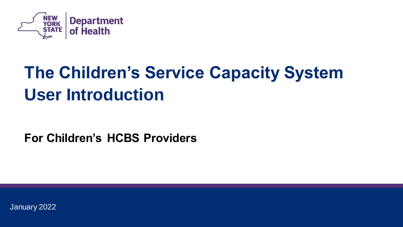

## **The Children's Service Capacity System User Introduction**

**For Children's HCBS Providers**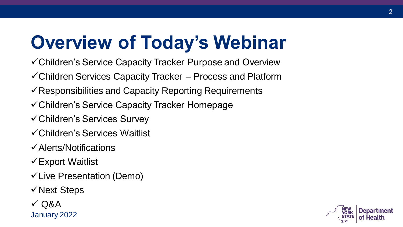## **Overview of Today's Webinar**

- ✓Children's Service Capacity Tracker Purpose and Overview
- ✓Children Services Capacity Tracker Process and Platform
- $\checkmark$  Responsibilities and Capacity Reporting Requirements
- ✓Children's Service Capacity Tracker Homepage
- ✓Children's Services Survey
- ✓Children's Services Waitlist
- ✓Alerts/Notifications
- ✓Export Waitlist
- ✓Live Presentation (Demo)
- ✓Next Steps
- $\sqrt{Q}$ Q&A January 2022

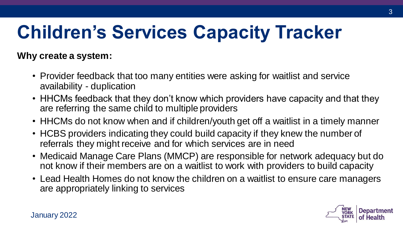# **Children's Services Capacity Tracker**

**Why create a system:**

- Provider feedback that too many entities were asking for waitlist and service availability - duplication
- HHCMs feedback that they don't know which providers have capacity and that they are referring the same child to multiple providers
- HHCMs do not know when and if children/youth get off a waitlist in a timely manner
- HCBS providers indicating they could build capacity if they knew the number of referrals they might receive and for which services are in need
- Medicaid Manage Care Plans (MMCP) are responsible for network adequacy but do not know if their members are on a waitlist to work with providers to build capacity
- Lead Health Homes do not know the children on a waitlist to ensure care managers are appropriately linking to services

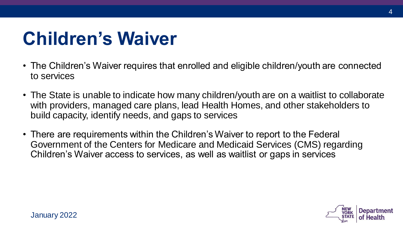## **Children's Waiver**

- The Children's Waiver requires that enrolled and eligible children/youth are connected to services
- The State is unable to indicate how many children/youth are on a waitlist to collaborate with providers, managed care plans, lead Health Homes, and other stakeholders to build capacity, identify needs, and gaps to services
- There are requirements within the Children's Waiver to report to the Federal Government of the Centers for Medicare and Medicaid Services (CMS) regarding Children's Waiver access to services, as well as waitlist or gaps in services



4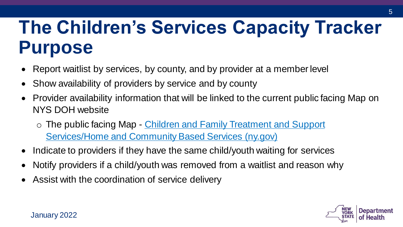## **The Children's Services Capacity Tracker Purpose**

- Report waitlist by services, by county, and by provider at a member level
- Show availability of providers by service and by county
- Provider availability information that will be linked to the current public facing Map on NYS DOH website
	- o The public facing Map Children and Family Treatment and Support [Services/Home and Community Based Services \(ny.gov\)](https://www.health.ny.gov/health_care/medicaid/redesign/behavioral_health/children/provider_design.htm)
- Indicate to providers if they have the same child/youth waiting for services
- Notify providers if a child/youth was removed from a waitlist and reason why
- Assist with the coordination of service delivery

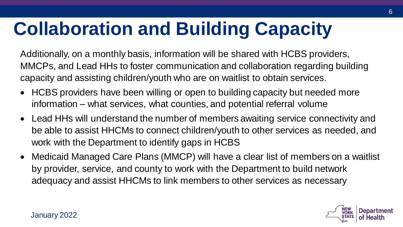# **Collaboration and Building Capacity**

Additionally, on a monthly basis, information will be shared with HCBS providers, MMCPs, and Lead HHs to foster communication and collaboration regarding building capacity and assisting children/youth who are on waitlist to obtain services.

- HCBS providers have been willing or open to building capacity but needed more information – what services, what counties, and potential referral volume
- Lead HHs will understand the number of members awaiting service connectivity and be able to assist HHCMs to connect children/youth to other services as needed, and work with the Department to identify gaps in HCBS
- Medicaid Managed Care Plans (MMCP) will have a clear list of members on a waitlist by provider, service, and county to work with the Department to build network adequacy and assist HHCMs to link members to other services as necessary

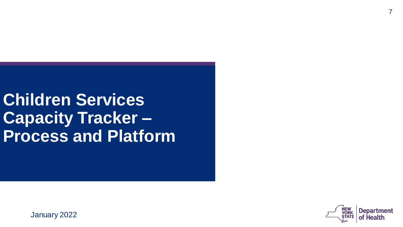**Children Services Capacity Tracker – Process and Platform**

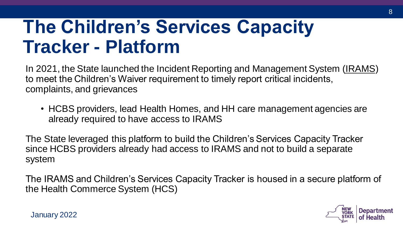## **The Children's Services Capacity Tracker - Platform**

In 2021, the State launched the Incident Reporting and Management System (IRAMS) to meet the Children's Waiver requirement to timely report critical incidents, complaints, and grievances

• HCBS providers, lead Health Homes, and HH care management agencies are already required to have access to IRAMS

The State leveraged this platform to build the Children's Services Capacity Tracker since HCBS providers already had access to IRAMS and not to build a separate system

The IRAMS and Children's Services Capacity Tracker is housed in a secure platform of the Health Commerce System (HCS)

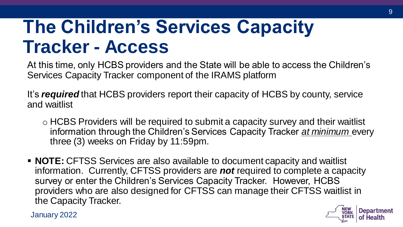## **The Children's Services Capacity Tracker - Access**

At this time, only HCBS providers and the State will be able to access the Children's Services Capacity Tracker component of the IRAMS platform

It's *required* that HCBS providers report their capacity of HCBS by county, service and waitlist

- o HCBS Providers will be required to submit a capacity survey and their waitlist information through the Children's Services Capacity Tracker *at minimum* every three (3) weeks on Friday by 11:59pm.
- **NOTE:** CFTSS Services are also available to document capacity and waitlist information. Currently, CFTSS providers are *not* required to complete a capacity survey or enter the Children's Services Capacity Tracker. However, HCBS providers who are also designed for CFTSS can manage their CFTSS waitlist in the Capacity Tracker.

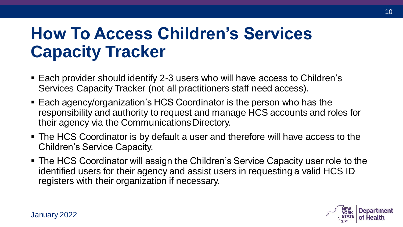### **How To Access Children's Services Capacity Tracker**

- Each provider should identify 2-3 users who will have access to Children's Services Capacity Tracker (not all practitioners staff need access).
- Each agency/organization's HCS Coordinator is the person who has the responsibility and authority to request and manage HCS accounts and roles for their agency via the Communications Directory.
- The HCS Coordinator is by default a user and therefore will have access to the Children's Service Capacity.
- The HCS Coordinator will assign the Children's Service Capacity user role to the identified users for their agency and assist users in requesting a valid HCS ID registers with their organization if necessary.

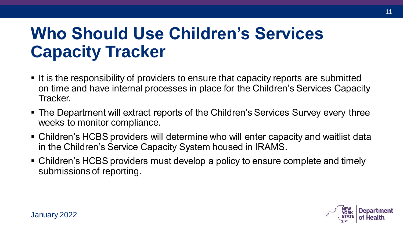### **Who Should Use Children's Services Capacity Tracker**

- It is the responsibility of providers to ensure that capacity reports are submitted on time and have internal processes in place for the Children's Services Capacity Tracker.
- The Department will extract reports of the Children's Services Survey every three weeks to monitor compliance.
- Children's HCBS providers will determine who will enter capacity and waitlist data in the Children's Service Capacity System housed in IRAMS.
- Children's HCBS providers must develop a policy to ensure complete and timely submissions of reporting.

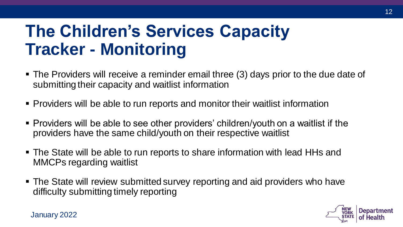### **The Children's Services Capacity Tracker - Monitoring**

- The Providers will receive a reminder email three (3) days prior to the due date of submitting their capacity and waitlist information
- Providers will be able to run reports and monitor their waitlist information
- Providers will be able to see other providers' children/youth on a waitlist if the providers have the same child/youth on their respective waitlist
- The State will be able to run reports to share information with lead HHs and MMCPs regarding waitlist
- The State will review submitted survey reporting and aid providers who have difficulty submitting timely reporting

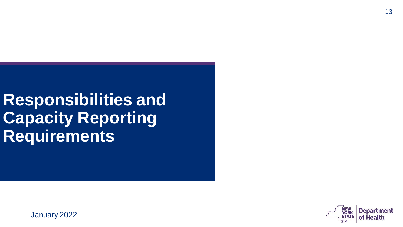**Responsibilities and Capacity Reporting Requirements**

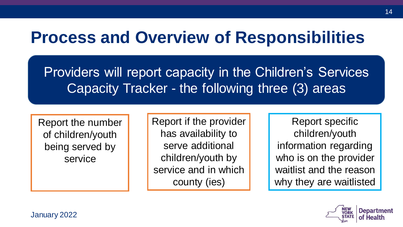#### **Process and Overview of Responsibilities**

Providers will report capacity in the Children's Services Capacity Tracker - the following three (3) areas

Report the number of children/youth being served by service

Report if the provider has availability to serve additional children/youth by service and in which county (ies)

Report specific children/youth information regarding who is on the provider waitlist and the reason why they are waitlisted

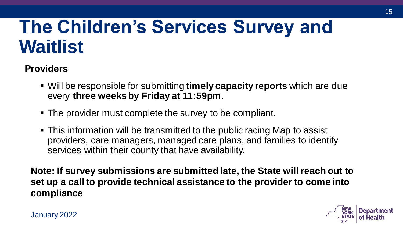## **The Children's Services Survey and Waitlist**

#### **Providers**

- Will be responsible for submitting **timely capacity reports** which are due every **three weeks by Friday at 11:59pm**.
- The provider must complete the survey to be compliant.
- This information will be transmitted to the public racing Map to assist providers, care managers, managed care plans, and families to identify services within their county that have availability.

**Note: If survey submissions are submitted late, the State will reach out to set up a call to provide technical assistance to the provider to come into compliance**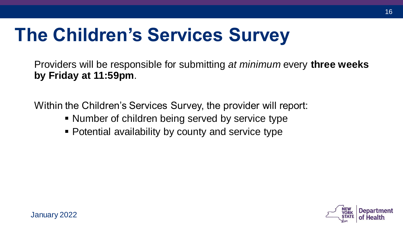## **The Children's Services Survey**

Providers will be responsible for submitting *at minimum* every **three weeks by Friday at 11:59pm**.

Within the Children's Services Survey, the provider will report:

- Number of children being served by service type
- **Potential availability by county and service type**

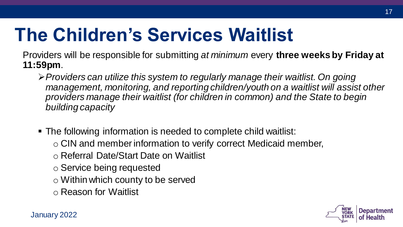## **The Children's Services Waitlist**

Providers will be responsible for submitting *at minimum* every **three weeks by Friday at 11:59pm**.

- ➢*Providers can utilize this system to regularly manage their waitlist. On going management, monitoring, and reporting children/youth on a waitlist will assist other providers manage their waitlist (for children in common) and the State to begin building capacity*
- The following information is needed to complete child waitlist:
	- o CIN and member information to verify correct Medicaid member,
	- o Referral Date/Start Date on Waitlist
	- o Service being requested
	- o Within which county to be served
	- o Reason for Waitlist

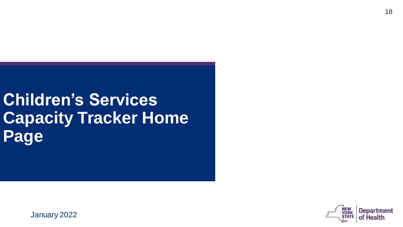### **Children's Services Capacity Tracker Home Page**

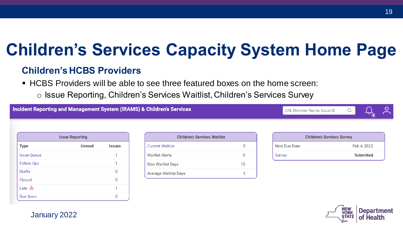#### **Children's Services Capacity System Home Page**

#### **Children's HCBS Providers**

- HCBS Providers will be able to see three featured boxes on the home screen:
	- o Issue Reporting, Children's Services Waitlist, Children's Services Survey

**Incident Reporting and Management System (IRAMS) & Children's Services** 

CIN. Member Name, Issue ID



| <b>Issue Reporting</b> |               |               |  |  |  |  |  |
|------------------------|---------------|---------------|--|--|--|--|--|
| <b>Type</b>            | <b>Unread</b> | <b>Issues</b> |  |  |  |  |  |
| <b>Issue Queue</b>     |               |               |  |  |  |  |  |
| Follow-Ups             |               |               |  |  |  |  |  |
| <b>Drafts</b>          |               |               |  |  |  |  |  |
| <b>Closed</b>          |               |               |  |  |  |  |  |
| Late $\triangle$       |               |               |  |  |  |  |  |
| Due Soon               |               |               |  |  |  |  |  |

| <b>Children's Services Waitlist</b> |    |  |
|-------------------------------------|----|--|
| <b>Current Waitlist</b>             |    |  |
| <b>Waitlist Alerts</b>              |    |  |
| <b>Max Waitlist Days</b>            | 10 |  |
| <b>Average Waitlist Days</b>        |    |  |

|               | <b>Children's Services Survey</b> |
|---------------|-----------------------------------|
| Next Due Date | Feb 4, 2022                       |
| Survey        | <b>Submitted</b>                  |

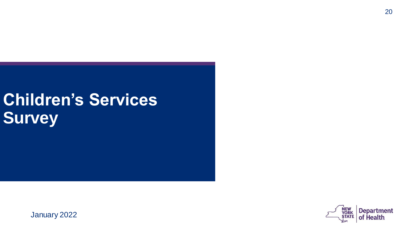## **Children's Services Survey**

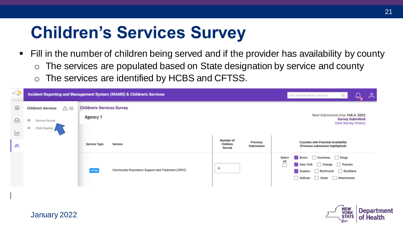## **Children's Services Survey**

- Fill in the number of children being served and if the provider has availability by county
	- o The services are populated based on State designation by service and county
	- o The services are identified by HCBS and CFTSS.

| ∠₩                      |                                                  | Incident Reporting and Management System (IRAMS) & Children's Services |                                                                  | ని<br>Q<br>CIN, Member Name, Issue ID                                                                                                 |
|-------------------------|--------------------------------------------------|------------------------------------------------------------------------|------------------------------------------------------------------|---------------------------------------------------------------------------------------------------------------------------------------|
| 血                       | $\triangle \equiv$<br><b>Children's Services</b> | <b>Children's Services Survey</b>                                      |                                                                  |                                                                                                                                       |
| ⊌                       | 三<br>Service Survey                              | Agency 1                                                               |                                                                  | Next Submission Due: Feb 4, 2022<br><b>Survey Submitted</b><br>View Survey History                                                    |
| $\overline{\mathbb{R}}$ | 呉<br>Child Waitlist                              |                                                                        |                                                                  |                                                                                                                                       |
| 启                       |                                                  | <b>Service Type</b><br>Service                                         | Number of<br>Previous<br>Children<br><b>Submission</b><br>Served | <b>Counties with Potential Availability</b><br>(Previous submission highlighted)                                                      |
|                         |                                                  | Community Psychiatric Support and Treatment (CPST)<br><b>CFTSS</b>     |                                                                  | Bronx Dutchess Nings<br>Select<br>섹<br>New York Orange Putnam<br>Rockland<br><b>Queens</b><br>Richmond<br>Sullivan Ulster Westchester |

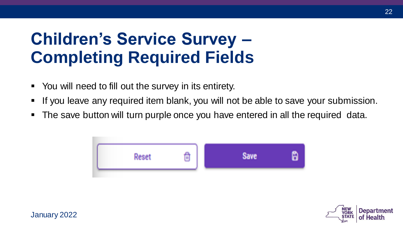#### **Children's Service Survey – Completing Required Fields**

- You will need to fill out the survey in its entirety.
- **.** If you leave any required item blank, you will not be able to save your submission.
- The save button will turn purple once you have entered in all the required data.



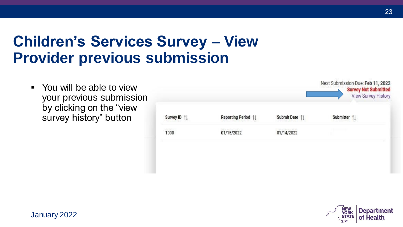#### **Children's Services Survey – View Provider previous submission**

■ You will be able to view your previous submission by clicking on the "view survey history" button

|                |                                       | Submit Date 1 | Submitter 1 |
|----------------|---------------------------------------|---------------|-------------|
| Survey ID 1    | Reporting Period 1                    |               |             |
| 509583<br>1000 | 12 F.I. Le J. S. BARTON<br>01/15/2022 | 01/14/2022    |             |
|                |                                       |               |             |
|                |                                       |               |             |



Next Submission Due: Feb 11, 2022

Concert Med Cohneither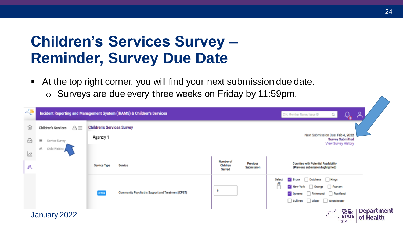#### **Children's Services Survey – Reminder, Survey Due Date**

- At the top right corner, you will find your next submission due date.
	- o Surveys are due every three weeks on Friday by 11:59pm.

| 4 |                                           | Incident Reporting and Management System (IRAMS) & Children's Services |                                                                         | $\bigoplus$<br>$Q_{\rm c}$<br>CIN, Member Name, Issue ID                           | م                              |
|---|-------------------------------------------|------------------------------------------------------------------------|-------------------------------------------------------------------------|------------------------------------------------------------------------------------|--------------------------------|
| 仙 | $\triangle \equiv$<br>Children's Services | <b>Children's Services Survey</b>                                      |                                                                         |                                                                                    |                                |
| ⊌ | 三<br>Service Survey                       | Agency 1                                                               |                                                                         | Next Submission Due: Feb 4, 2022<br><b>Survey Submitted</b><br>View Survey History |                                |
| 쓰 | B.<br>Child Waitlist                      |                                                                        |                                                                         |                                                                                    |                                |
| 呉 |                                           | <b>Service Type</b><br>Service                                         | Number of<br><b>Previous</b><br>Children<br><b>Submission</b><br>Served | <b>Counties with Potential Availability</b><br>(Previous submission highlighted)   |                                |
|   |                                           |                                                                        |                                                                         | Bronx Dutchess Kings<br>Select<br>All                                              |                                |
|   |                                           | Community Psychiatric Support and Treatment (CPST)                     |                                                                         | $\overline{\phantom{a}}$<br>New York Orange Putnam                                 |                                |
|   |                                           | CFTSS                                                                  |                                                                         | $\vee$ Queens<br>Richmond<br>Rockland<br>Sullivan Ulster Westchester               |                                |
|   | January 2022                              |                                                                        |                                                                         | <b>YORK</b><br>STATE                                                               | <b>Department</b><br>of Health |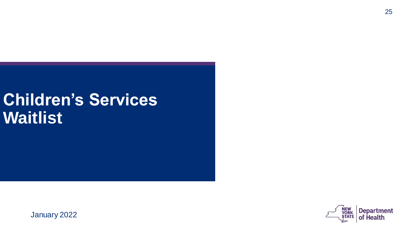#### **Children's Services Waitlist**

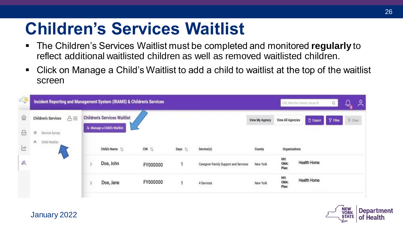#### **Children's Services Waitlist**

- The Children's Services Waitlist must be completed and monitored **regularly** to reflect additional waitlisted children as well as removed waitlisted children.
- Click on Manage a Child's Waitlist to add a child to waitlist at the top of the waitlist screen

| <b>A</b>                | Incident Reporting and Management System (IRAMS) & Children's Services |                                     |           |         |                                       |                                           |                          | Citi, Member Name, Taxue ID | Q        | $\mathcal{L}$<br>ని |
|-------------------------|------------------------------------------------------------------------|-------------------------------------|-----------|---------|---------------------------------------|-------------------------------------------|--------------------------|-----------------------------|----------|---------------------|
| 仚                       | $A \equiv$<br><b>Children's Services</b>                               | <b>Children's Services Waitlist</b> |           |         |                                       | View My Agency                            | <b>View All Agencies</b> | <b>D</b> Export             | Y Filter | % Clear             |
| $\Theta$                | $\equiv$<br>Service Survey                                             | & Manage a Child's Waitlist         |           |         |                                       |                                           |                          |                             |          |                     |
| $\overline{\mathbb{R}}$ | 其<br>Child Waitlist                                                    | Child's Name 11                     | $CN$ $11$ | Days 11 | Service(s)                            | <b>County</b>                             | Organizations            |                             |          |                     |
| 呉                       |                                                                        | Doe, John                           | FY000000  |         | Caregiver Family Support and Services | 532 AVANDADA<br>New York<br>- 1999 - 1999 | HHt<br>CMA:<br>Plan:     | Health Home                 |          |                     |
|                         |                                                                        | Doe, Jane                           | FY000000  |         | 4 Services                            | New York<br><b>JULIA POSTED</b>           | HH:<br>CMA:<br>Plan:     | Health Home                 |          |                     |
|                         |                                                                        |                                     |           |         |                                       |                                           |                          |                             |          |                     |

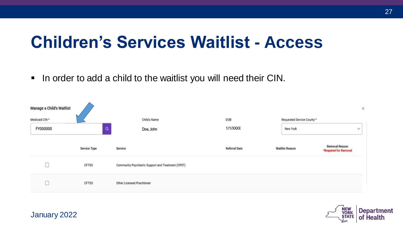#### **Children's Services Waitlist - Access**

■ In order to add a child to the waitlist you will need their CIN.

| Manage a Child's Waitlist  |              |                                                    |                      |                                        | $\times$                                       |
|----------------------------|--------------|----------------------------------------------------|----------------------|----------------------------------------|------------------------------------------------|
| Medicaid CIN *<br>FY000000 | $\alpha$     | Child's Name<br>Doe, John                          | DOB<br>1/1/XXXX      | Requested Service County *<br>New York | v                                              |
|                            | Service Type | Service                                            | <b>Referral Date</b> | <b>Waitlist Reason</b>                 | <b>Removal Reason</b><br>*Required for Removal |
|                            | <b>CFTSS</b> | Community Psychiatric Support and Treatment (CPST) |                      |                                        |                                                |
|                            | CFTSS        | Other Licensed Practitioner                        |                      |                                        |                                                |

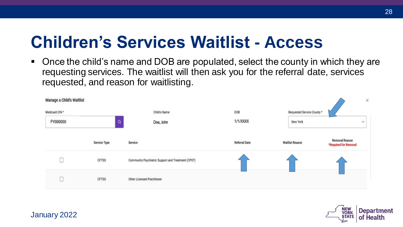#### **Children's Services Waitlist - Access**

■ Once the child's name and DOB are populated, select the county in which they are requesting services. The waitlist will then ask you for the referral date, services requested, and reason for waitlisting.

| Manage a Child's Waitlist |              |                                                    |                      |                            |                                         | $\times$ |
|---------------------------|--------------|----------------------------------------------------|----------------------|----------------------------|-----------------------------------------|----------|
| Medicaid CIN *            |              | Child's Name                                       | DOB                  | Requested Service County * |                                         |          |
| FY000000                  | $\mathsf Q$  | Doe, John                                          | 1/1/XXXX             | New York                   |                                         | v        |
|                           |              |                                                    |                      |                            |                                         |          |
|                           | Service Type | Service                                            | <b>Referral Date</b> | <b>Waitlist Reason</b>     | Removal Reason<br>*Required for Removal |          |
|                           | CFTSS        | Community Psychiatric Support and Treatment (CPST) |                      |                            |                                         |          |
|                           | CFTSS        | Other Licensed Practitioner                        |                      |                            |                                         |          |

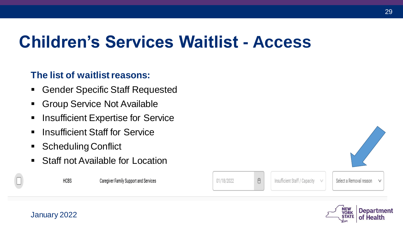### **Children's Services Waitlist - Access**

#### **The list of waitlist reasons:**

- Gender Specific Staff Requested
- Group Service Not Available
- Insufficient Expertise for Service
- Insufficient Staff for Service
- Scheduling Conflict
- Staff not Available for Location

January 2022

Caregiver Family Support and Services

01/18/2022

Ö

Insufficient Staff / Capacity

 $\vee$ 

Select a Removal reason ٧

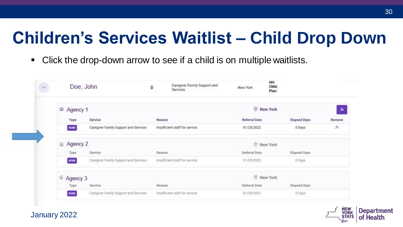### **Children's Services Waitlist – Child Drop Down**

■ Click the drop-down arrow to see if a child is on multiple waitlists.

| $\checkmark$ | Doe, John                     |                                       | Caregiver Family Support and<br>0<br>Services | New York             | HH:<br>CMA:<br>Plan: |                  |
|--------------|-------------------------------|---------------------------------------|-----------------------------------------------|----------------------|----------------------|------------------|
|              | ⋒ Agency 1                    |                                       |                                               |                      | <b>O</b> New York    | $\boldsymbol{s}$ |
|              | Type                          | Service                               | Reason                                        | <b>Referral Date</b> | <b>Elapsed Days</b>  | Remove           |
|              | HCOS                          | Caregiver Family Support and Services | Insufficient staff for service                | 01/25/2022           | 0 Days               | $\mathcal{R}_i$  |
|              | m Agency 2                    |                                       |                                               |                      | <b>O</b> New York    |                  |
|              | Type                          | Service                               | Reason                                        | Referral Date        | Elapsed Days         |                  |
|              | HCBS                          | Caregiver Family Support and Services | Insufficient staff for service                | 01/25/2022           | 0 Days               |                  |
|              | <sup><i>fa</i></sup> Agency 3 |                                       |                                               |                      | Rew York             |                  |
|              | <b>Type</b>                   | Service                               | Reason                                        | Referral Date        | Elapsed Days         |                  |
|              | HOBS                          | Caregiver Family Support and Services | Insufficient staff for service                | 01/25/2022           | 0 Days               |                  |

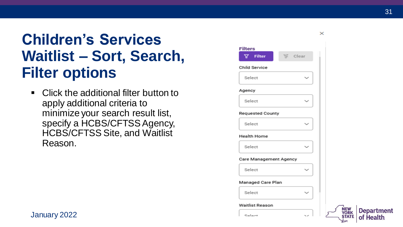#### **Children's Services Waitlist – Sort, Search, Filter options**

■ Click the additional filter button to apply additional criteria to minimize your search result list, specify a HCBS/CFTSS Agency, HCBS/CFTSS Site, and Waitlist Reason.

| <b>Filters</b>          |                                    |
|-------------------------|------------------------------------|
| <b>T</b> Filter         | 下 Clear                            |
| <b>Child Service</b>    |                                    |
| Select                  |                                    |
| Agency                  |                                    |
| Select                  |                                    |
| <b>Requested County</b> |                                    |
| Select                  |                                    |
| <b>Health Home</b>      |                                    |
| Select                  |                                    |
| Care Management Agency  |                                    |
| Select                  |                                    |
| Managed Care Plan       |                                    |
| Select                  |                                    |
| Waitlist Reason         |                                    |
| Colomb                  | $\sim$<br>$\overline{\phantom{a}}$ |

 $\times$ 

**ORK**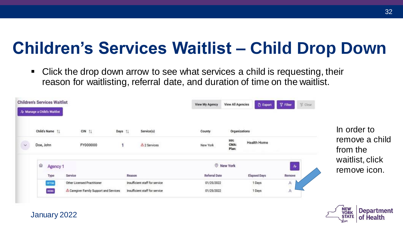### **Children's Services Waitlist – Child Drop Down**

■ Click the drop down arrow to see what services a child is requesting, their reason for waitlisting, referral date, and duration of time on the waitlist.

|                           | <b>Children's Services Waitlist</b><br>& Manage a Child's Waitlist |                                       |        |                                | <b>View My Agency</b> | <b>View All Agencies</b> | <b>D</b> Export     | $\nabla$ Filter | <b>W</b> Clear |                                 |
|---------------------------|--------------------------------------------------------------------|---------------------------------------|--------|--------------------------------|-----------------------|--------------------------|---------------------|-----------------|----------------|---------------------------------|
|                           | Child's Name 11                                                    | $CIN$ $\uparrow \downarrow$           | Days [ | Service(s)                     | County                | Organizations            |                     |                 |                | In order to<br>remove a child   |
| $\downarrow$<br><b>CO</b> | Doe, John                                                          | FY000000                              | 1      | △ 2 Services                   | New York              | HH:<br>CMA:<br>Plan:     | Health Home         |                 |                | from the                        |
|                           | ⋒<br>Agency 1                                                      |                                       |        |                                |                       | <b>O</b> New York        |                     | $\mathcal{H}$   |                | waitlist, click<br>remove icon. |
|                           | Type                                                               | Service                               | Reason |                                | Referral Date         |                          | <b>Elapsed Days</b> | Remove          |                |                                 |
|                           | CFTSS                                                              | Other Licensed Practitioner           |        | Insufficient staff for service | 01/25/2022            |                          | 1 Days              | A,              |                |                                 |
|                           | HCBS                                                               | Caregiver Family Support and Services |        | Insufficient staff for service | 01/25/2022            |                          | 1 Days              | A,              |                |                                 |

January 2022

**ORI**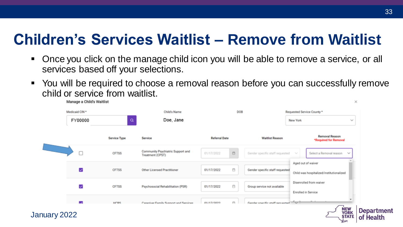#### **Children's Services Waitlist – Remove from Waitlist**

- Once you click on the manage child icon you will be able to remove a service, or all services based off your selections.
- You will be required to choose a removal reason before you can successfully remove child or service from waitlist.

| Medicaid CIN * |                     | Child's Name                                          | DOB                                                                                          |                                   | Requested Service County *                                       |                            |  |
|----------------|---------------------|-------------------------------------------------------|----------------------------------------------------------------------------------------------|-----------------------------------|------------------------------------------------------------------|----------------------------|--|
| FY00000        | Q                   | Doe, Jane                                             |                                                                                              |                                   | New York                                                         | $\sim$                     |  |
|                | <b>Service Type</b> | Service                                               | <b>Referral Date</b>                                                                         | <b>Waitlist Reason</b>            | <b>Removal Reason</b><br>*Required for Removal                   |                            |  |
| ∟              | <b>CFTSS</b>        | Community Psychiatric Support and<br>Treatment (CPST) | $\qquad \qquad \qquad \qquad \qquad \qquad \qquad \qquad \qquad \qquad \qquad$<br>01/17/2022 | Gender specific staff requested   | Select a Removal reason<br>$\mathcal{P}_{\mathbf{r},\mathbf{p}}$ | $\mathcal{N}_{\mathbf{p}}$ |  |
| ◡              | <b>CFTSS</b>        | <b>Other Licensed Practitioner</b>                    | Ö<br>01/17/2022                                                                              | Gender specific staff requested   | Aged out of waiver<br>Child was hospitalized/institutionalized   |                            |  |
| ⊽              | <b>CFTSS</b>        | Psychosocial Rehabilitation (PSR)                     | Ö<br>01/17/2022                                                                              | Group service not available       | Disenrolled from waiver<br>Enrolled in Service                   |                            |  |
|                | <b>HORS</b>         | Caraciust Family Sunnert and Sarvinge                 | 曲<br>01/17/2022                                                                              | Gander enerific staff requested V |                                                                  |                            |  |

33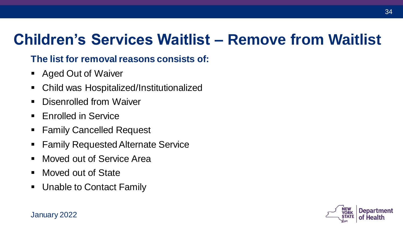#### **Children's Services Waitlist – Remove from Waitlist**

#### **The list for removal reasons consists of:**

- Aged Out of Waiver
- Child was Hospitalized/Institutionalized
- Disenrolled from Waiver
- Enrolled in Service
- **EXAMILE** Family Cancelled Request
- Family Requested Alternate Service
- Moved out of Service Area
- Moved out of State
- Unable to Contact Family

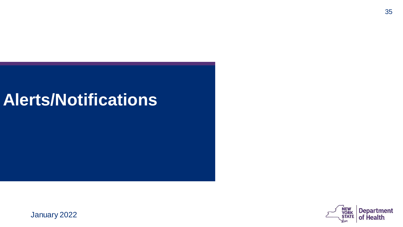#### **Alerts/Notifications**

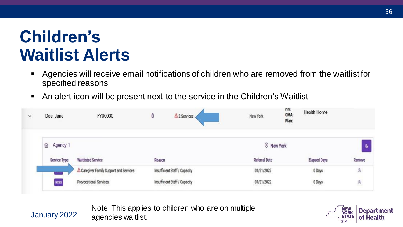#### **Children's Waitlist Alerts**

January 2022

- Agencies will receive email notifications of children who are removed from the waitlist for specified reasons
- An alert icon will be present next to the service in the Children's Waitlist

| v | Doe, Jane     | FY00000                                            | 0      | $\triangle$ 2 Services        | New York          | uu:<br>CMA:<br>Plan: | Health Home         |              |  |  |
|---|---------------|----------------------------------------------------|--------|-------------------------------|-------------------|----------------------|---------------------|--------------|--|--|
|   | Agency 1<br>⋒ |                                                    |        |                               | <b>O</b> New York |                      |                     |              |  |  |
|   | Service Type  | <b>Waitlisted Service</b>                          | Reason |                               | Referral Date     |                      | <b>Elapsed Days</b> | Remove       |  |  |
|   |               | <sup>△</sup> Caregiver Family Support and Services |        | Insufficient Staff / Capacity | 01/21/2022        |                      | 0 Days              | $\mathbb{A}$ |  |  |
|   | HOBS          | Prevocational Services                             |        | Insufficient Staff / Capacity | 01/21/2022        |                      | 0 Days              | $\approx$    |  |  |

Note: This applies to children who are on multiple agencies waitlist.

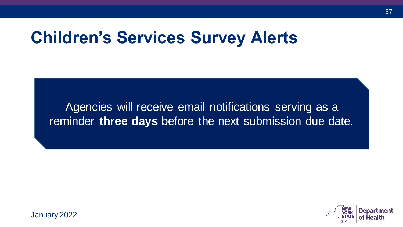#### **Children's Services Survey Alerts**

Agencies will receive email notifications serving as a reminder **three days** before the next submission due date.

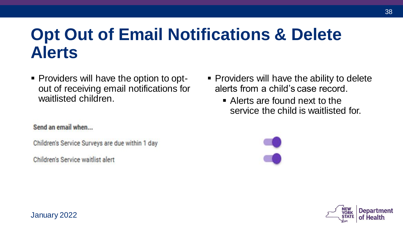#### **Opt Out of Email Notifications & Delete Alerts**

▪ Providers will have the option to optout of receiving email notifications for waitlisted children.

#### Send an email when...

Children's Service Surveys are due within 1 day

Children's Service waitlist alert

- Providers will have the ability to delete alerts from a child's case record.
	- Alerts are found next to the service the child is waitlisted for.

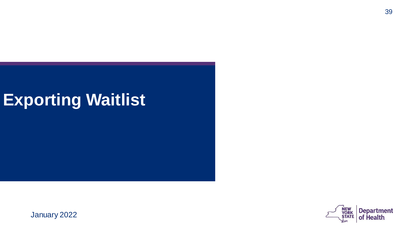#### **Exporting Waitlist**

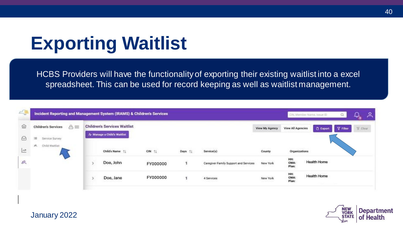## **Exporting Waitlist**

HCBS Providers will have the functionality of exporting their existing waitlist into a excel spreadsheet. This can be used for record keeping as well as waitlist management.

| △■                            | Incident Reporting and Management System (IRAMS) & Children's Services |                                                                    |          |        |                                       |                           | Citi, Member Name, Texue ID |                 | Q        | $\mathcal{Q}$<br>ᅀ |
|-------------------------------|------------------------------------------------------------------------|--------------------------------------------------------------------|----------|--------|---------------------------------------|---------------------------|-----------------------------|-----------------|----------|--------------------|
| 位                             | $A =$<br><b>Children's Services</b>                                    | <b>Children's Services Waitlist</b><br>A Manage a Child's Waitlist |          |        |                                       | View My Agency            | <b>View All Agencies</b>    | <b>D</b> Export | Y Filter | S. Clear           |
| $\omega$<br>$\overline{\sim}$ | $\equiv$<br>Service Survey<br>满口<br>Child Waitlist                     | Child's Name 11                                                    | CIN 11   | Days 1 | Service(s)                            | County.                   | Organizations               |                 |          |                    |
| 呉                             |                                                                        | Doe, John                                                          | FY000000 |        | Caregiver Family Support and Services | New York<br>443399999     | HH:<br>CMA:<br>Plan:        | Health Home     |          |                    |
|                               |                                                                        | Doe, Jane                                                          | FY000000 |        | 4 Services                            | New York<br>70. O.H. 1722 | HH:<br>CMA:<br>Plan:        | Health Home     |          |                    |

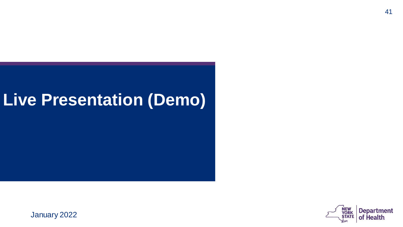#### **Live Presentation (Demo)**

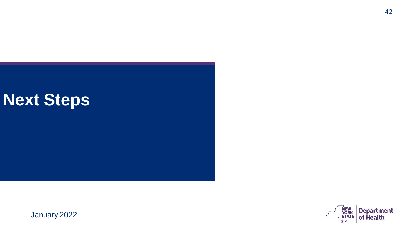#### **Next Steps**

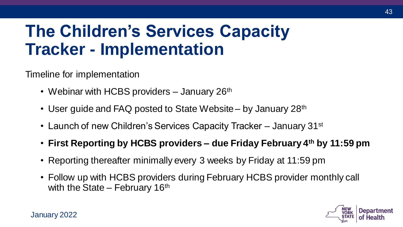### **The Children's Services Capacity Tracker - Implementation**

Timeline for implementation

- Webinar with HCBS providers  $-$  January 26<sup>th</sup>
- User guide and FAQ posted to State Website by January 28<sup>th</sup>
- Launch of new Children's Services Capacity Tracker January 31<sup>st</sup>
- **First Reporting by HCBS providers – due Friday February 4th by 11:59 pm**
- Reporting thereafter minimally every 3 weeks by Friday at 11:59 pm
- Follow up with HCBS providers during February HCBS provider monthly call with the State – February  $16<sup>th</sup>$

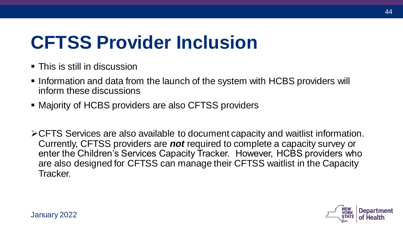## **CFTSS Provider Inclusion**

- **This is still in discussion**
- **Information and data from the launch of the system with HCBS providers will** inform these discussions
- Majority of HCBS providers are also CFTSS providers
- ➢CFTS Services are also available to document capacity and waitlist information. Currently, CFTSS providers are *not* required to complete a capacity survey or enter the Children's Services Capacity Tracker. However, HCBS providers who are also designed for CFTSS can manage their CFTSS waitlist in the Capacity Tracker.

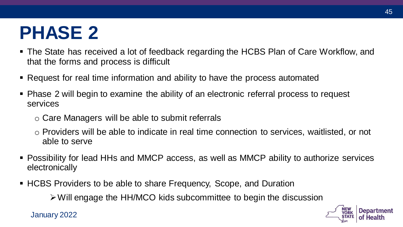## **PHASE 2**

- The State has received a lot of feedback regarding the HCBS Plan of Care Workflow, and that the forms and process is difficult
- Request for real time information and ability to have the process automated
- Phase 2 will begin to examine the ability of an electronic referral process to request services
	- o Care Managers will be able to submit referrals
	- o Providers will be able to indicate in real time connection to services, waitlisted, or not able to serve
- Possibility for lead HHs and MMCP access, as well as MMCP ability to authorize services electronically
- HCBS Providers to be able to share Frequency, Scope, and Duration

➢Will engage the HH/MCO kids subcommittee to begin the discussion

January 2022

**YORK**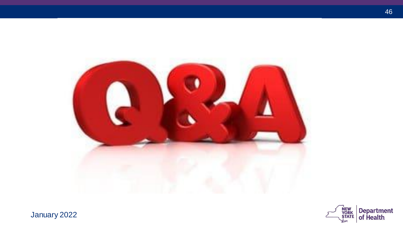

NEW<br>YORK<br>STATE Department<br>of Health